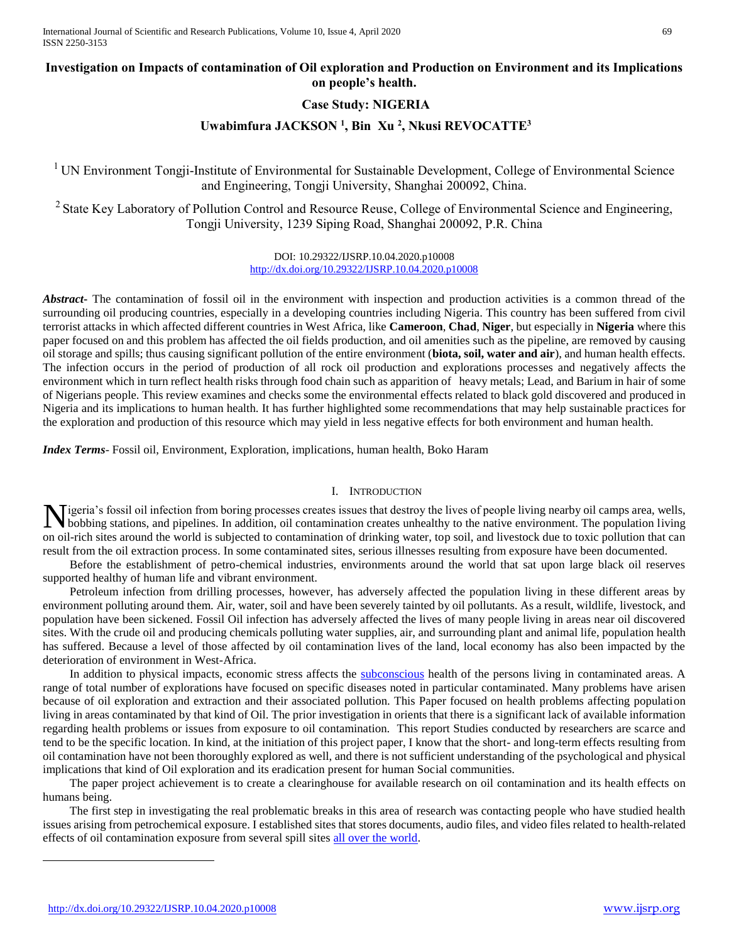## **Investigation on Impacts of contamination of Oil exploration and Production on Environment and its Implications on people's health.**

## **Case Study: NIGERIA**

## **Uwabimfura JACKSON <sup>1</sup> , Bin Xu <sup>2</sup> , Nkusi REVOCATTE<sup>3</sup>**

<sup>1</sup> UN Environment Tongji-Institute of Environmental for Sustainable Development, College of Environmental Science and Engineering, Tongji University, Shanghai 200092, China.

<sup>2</sup> State Key Laboratory of Pollution Control and Resource Reuse, College of Environmental Science and Engineering, Tongji University, 1239 Siping Road, Shanghai 200092, P.R. China

> DOI: 10.29322/IJSRP.10.04.2020.p10008 <http://dx.doi.org/10.29322/IJSRP.10.04.2020.p10008>

*Abstract***-** The contamination of fossil oil in the environment with inspection and production activities is a common thread of the surrounding oil producing countries, especially in a developing countries including Nigeria. This country has been suffered from civil terrorist attacks in which affected different countries in West Africa, like **Cameroon**, **Chad**, **Niger**, but especially in **Nigeria** where this paper focused on and this problem has affected the oil fields production, and oil amenities such as the pipeline, are removed by causing oil storage and spills; thus causing significant pollution of the entire environment (**biota, soil, water and air**), and human health effects. The infection occurs in the period of production of all rock oil production and explorations processes and negatively affects the environment which in turn reflect health risks through food chain such as apparition of heavy metals; Lead, and Barium in hair of some of Nigerians people. This review examines and checks some the environmental effects related to black gold discovered and produced in Nigeria and its implications to human health. It has further highlighted some recommendations that may help sustainable practices for the exploration and production of this resource which may yield in less negative effects for both environment and human health.

*Index Terms*- Fossil oil, Environment, Exploration, implications, human health, Boko Haram

### I. INTRODUCTION

Nigeria's fossil oil infection from boring processes creates issues that destroy the lives of people living nearby oil camps area, wells, bobbing stations, and pipelines. In addition, oil contamination creates unhealthy to bobbing stations, and pipelines. In addition, oil contamination creates unhealthy to the native environment. The population living on oil-rich sites around the world is subjected to contamination of drinking water, top soil, and livestock due to toxic pollution that can result from the oil extraction process. In some contaminated sites, serious illnesses resulting from exposure have been documented.

 Before the establishment of petro-chemical industries, environments around the world that sat upon large black oil reserves supported healthy of human life and vibrant environment.

 Petroleum infection from drilling processes, however, has adversely affected the population living in these different areas by environment polluting around them. Air, water, soil and have been severely tainted by oil pollutants. As a result, wildlife, livestock, and population have been sickened. Fossil Oil infection has adversely affected the lives of many people living in areas near oil discovered sites. With the crude oil and producing chemicals polluting water supplies, air, and surrounding plant and animal life, population health has suffered. Because a level of those affected by oil contamination lives of the land, local economy has also been impacted by the deterioration of environment in West-Africa.

In addition to physical impacts, economic stress affects the [subconscious](https://www.powerthesaurus.org/subconscious/synonyms) health of the persons living in contaminated areas. A range of total number of explorations have focused on specific diseases noted in particular contaminated. Many problems have arisen because of oil exploration and extraction and their associated pollution. This Paper focused on health problems affecting population living in areas contaminated by that kind of Oil. The prior investigation in orients that there is a significant lack of available information regarding health problems or issues from exposure to oil contamination. This report Studies conducted by researchers are scarce and tend to be the specific location. In kind, at the initiation of this project paper, I know that the short- and long-term effects resulting from oil contamination have not been thoroughly explored as well, and there is not sufficient understanding of the psychological and physical implications that kind of Oil exploration and its eradication present for human Social communities.

 The paper project achievement is to create a clearinghouse for available research on oil contamination and its health effects on humans being.

 The first step in investigating the real problematic breaks in this area of research was contacting people who have studied health issues arising from petrochemical exposure. I established sites that stores documents, audio files, and video files related to health-related effects of oil contamination exposure from several spill sites [all over the world.](https://www.powerthesaurus.org/all_over_the_world/synonyms)

 $\overline{a}$ 

<http://dx.doi.org/10.29322/IJSRP.10.04.2020.p10008> [www.ijsrp.org](http://ijsrp.org/)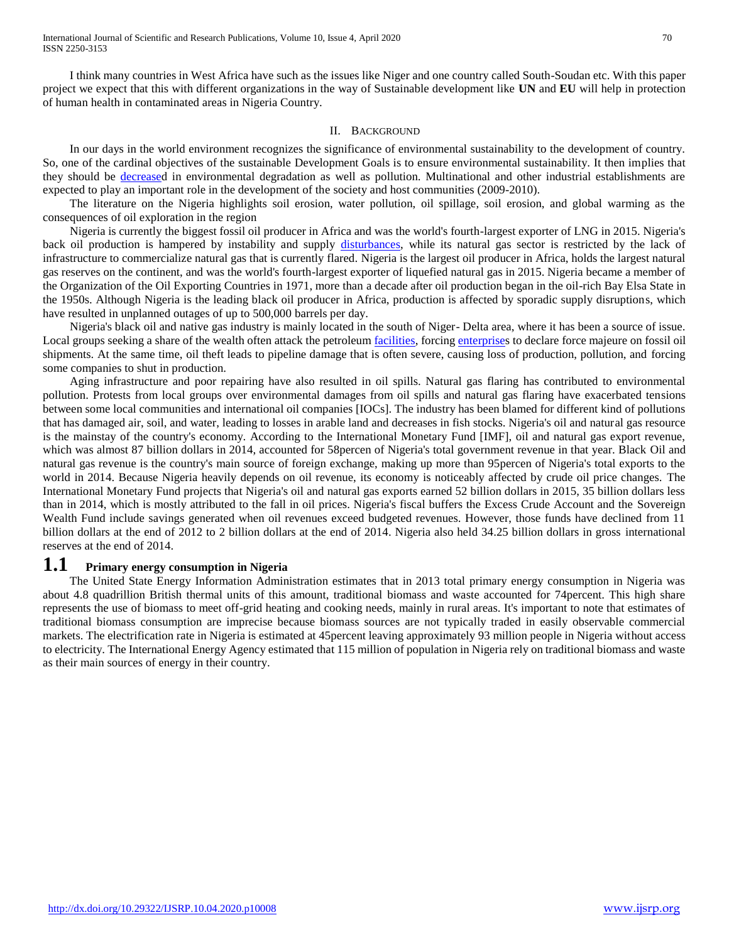I think many countries in West Africa have such as the issues like Niger and one country called South-Soudan etc. With this paper project we expect that this with different organizations in the way of Sustainable development like **UN** and **EU** will help in protection of human health in contaminated areas in Nigeria Country.

#### II. BACKGROUND

 In our days in the world environment recognizes the significance of environmental sustainability to the development of country. So, one of the cardinal objectives of the sustainable Development Goals is to ensure environmental sustainability. It then implies that they should be [decreased](https://www.powerthesaurus.org/decrease/synonyms) in environmental degradation as well as pollution. Multinational and other industrial establishments are expected to play an important role in the development of the society and host communities (2009-2010).

 The literature on the Nigeria highlights soil erosion, water pollution, oil spillage, soil erosion, and global warming as the consequences of oil exploration in the region

 Nigeria is currently the biggest fossil oil producer in Africa and was the world's fourth-largest exporter of LNG in 2015. Nigeria's back oil production is hampered by instability and supply [disturbances,](https://www.powerthesaurus.org/disturbances/synonyms) while its natural gas sector is restricted by the lack of infrastructure to commercialize natural gas that is currently flared. Nigeria is the largest oil producer in Africa, holds the largest natural gas reserves on the continent, and was the world's fourth-largest exporter of liquefied natural gas in 2015. Nigeria became a member of the Organization of the Oil Exporting Countries in 1971, more than a decade after oil production began in the oil-rich Bay Elsa State in the 1950s. Although Nigeria is the leading black oil producer in Africa, production is affected by sporadic supply disruptions, which have resulted in unplanned outages of up to 500,000 barrels per day.

 Nigeria's black oil and native gas industry is mainly located in the south of Niger- Delta area, where it has been a source of issue. Local groups seeking a share of the wealth often attack the petroleum *facilities*, forcing *enterprises* to declare force majeure on fossil oil shipments. At the same time, oil theft leads to pipeline damage that is often severe, causing loss of production, pollution, and forcing some companies to shut in production.

 Aging infrastructure and poor repairing have also resulted in oil spills. Natural gas flaring has contributed to environmental pollution. Protests from local groups over environmental damages from oil spills and natural gas flaring have exacerbated tensions between some local communities and international oil companies [IOCs]. The industry has been blamed for different kind of pollutions that has damaged air, soil, and water, leading to losses in arable land and decreases in fish stocks. Nigeria's oil and natural gas resource is the mainstay of the country's economy. According to the International Monetary Fund [IMF], oil and natural gas export revenue, which was almost 87 billion dollars in 2014, accounted for 58percen of Nigeria's total government revenue in that year. Black Oil and natural gas revenue is the country's main source of foreign exchange, making up more than 95percen of Nigeria's total exports to the world in 2014. Because Nigeria heavily depends on oil revenue, its economy is noticeably affected by crude oil price changes. The International Monetary Fund projects that Nigeria's oil and natural gas exports earned 52 billion dollars in 2015, 35 billion dollars less than in 2014, which is mostly attributed to the fall in oil prices. Nigeria's fiscal buffers the Excess Crude Account and the Sovereign Wealth Fund include savings generated when oil revenues exceed budgeted revenues. However, those funds have declined from 11 billion dollars at the end of 2012 to 2 billion dollars at the end of 2014. Nigeria also held 34.25 billion dollars in gross international reserves at the end of 2014.

## **1.1 Primary energy consumption in Nigeria**

 The United State Energy Information Administration estimates that in 2013 total primary energy consumption in Nigeria was about 4.8 quadrillion British thermal units of this amount, traditional biomass and waste accounted for 74percent. This high share represents the use of biomass to meet off-grid heating and cooking needs, mainly in rural areas. It's important to note that estimates of traditional biomass consumption are imprecise because biomass sources are not typically traded in easily observable commercial markets. The electrification rate in Nigeria is estimated at 45percent leaving approximately 93 million people in Nigeria without access to electricity. The International Energy Agency estimated that 115 million of population in Nigeria rely on traditional biomass and waste as their main sources of energy in their country.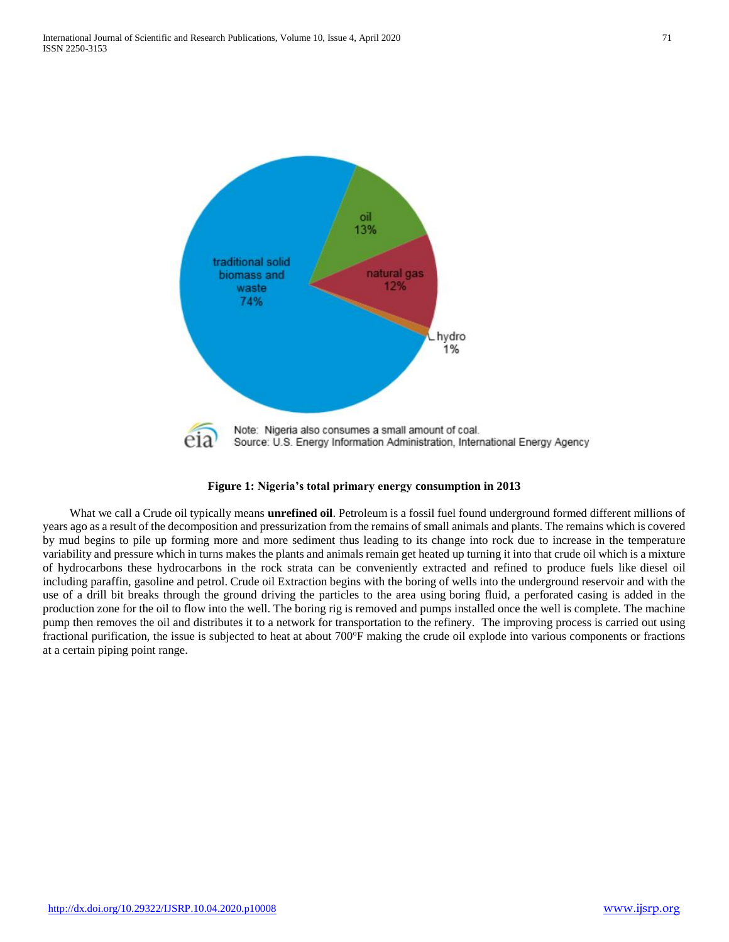



 What we call a Crude oil typically means **unrefined oil**. Petroleum is a fossil fuel found underground formed different millions of years ago as a result of the decomposition and pressurization from the remains of small animals and plants. The remains which is covered by mud begins to pile up forming more and more sediment thus leading to its change into rock due to increase in the temperature variability and pressure which in turns makes the plants and animals remain get heated up turning it into that crude oil which is a mixture of hydrocarbons these hydrocarbons in the rock strata can be conveniently extracted and refined to produce fuels like diesel oil including paraffin, gasoline and petrol. Crude oil Extraction begins with the boring of wells into the underground reservoir and with the use of a drill bit breaks through the ground driving the particles to the area using boring fluid, a perforated casing is added in the production zone for the oil to flow into the well. The boring rig is removed and pumps installed once the well is complete. The machine pump then removes the oil and distributes it to a network for transportation to the refinery. The improving process is carried out using fractional purification, the issue is subjected to heat at about 700°F making the crude oil explode into various components or fractions at a certain piping point range.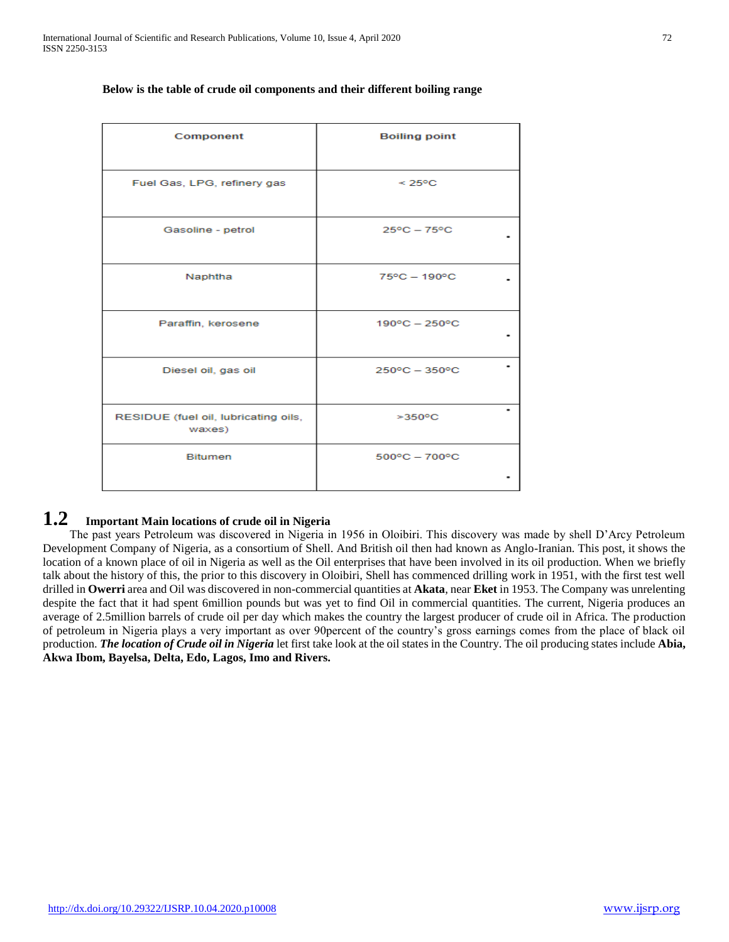| Component                                      | <b>Boiling point</b>    |
|------------------------------------------------|-------------------------|
| Fuel Gas, LPG, refinery gas                    | $< 25^{\circ}$ C        |
| Gasoline - petrol                              | $25^{\circ}$ C - 75°C   |
| Naphtha                                        | $75^{\circ}$ C - 190°C  |
| Paraffin, kerosene                             | $190^{\circ}$ C - 250°C |
| Diesel oil, gas oil                            | $250^{\circ}$ C - 350°C |
| RESIDUE (fuel oil, lubricating oils,<br>waxes) | $>350^{\circ}$ C        |
| <b>Bitumen</b>                                 | $500^{\circ}$ C - 700°C |

#### **Below is the table of crude oil components and their different boiling range**

# **1.2 Important Main locations of crude oil in Nigeria**

 The past years Petroleum was discovered in Nigeria in 1956 in Oloibiri. This discovery was made by shell D'Arcy Petroleum Development Company of Nigeria, as a consortium of Shell. And British oil then had known as Anglo-Iranian. This post, it shows the location of a known place of oil in Nigeria as well as the Oil enterprises that have been involved in its oil production. When we briefly talk about the history of this, the prior to this discovery in Oloibiri, Shell has commenced drilling work in 1951, with the first test well drilled in **Owerri** area and Oil was discovered in non-commercial quantities at **Akata**, near **Eket** in 1953. The Company was unrelenting despite the fact that it had spent 6million pounds but was yet to find Oil in commercial quantities. The current, Nigeria produces an average of 2.5million barrels of crude oil per day which makes the country the largest producer of crude oil in Africa. The production of petroleum in Nigeria plays a very important as over 90percent of the country's gross earnings comes from the place of black oil production. *The location of Crude oil in Nigeria* let first take look at the oil states in the Country. The oil producing states include **Abia, Akwa Ibom, Bayelsa, Delta, Edo, Lagos, Imo and Rivers.**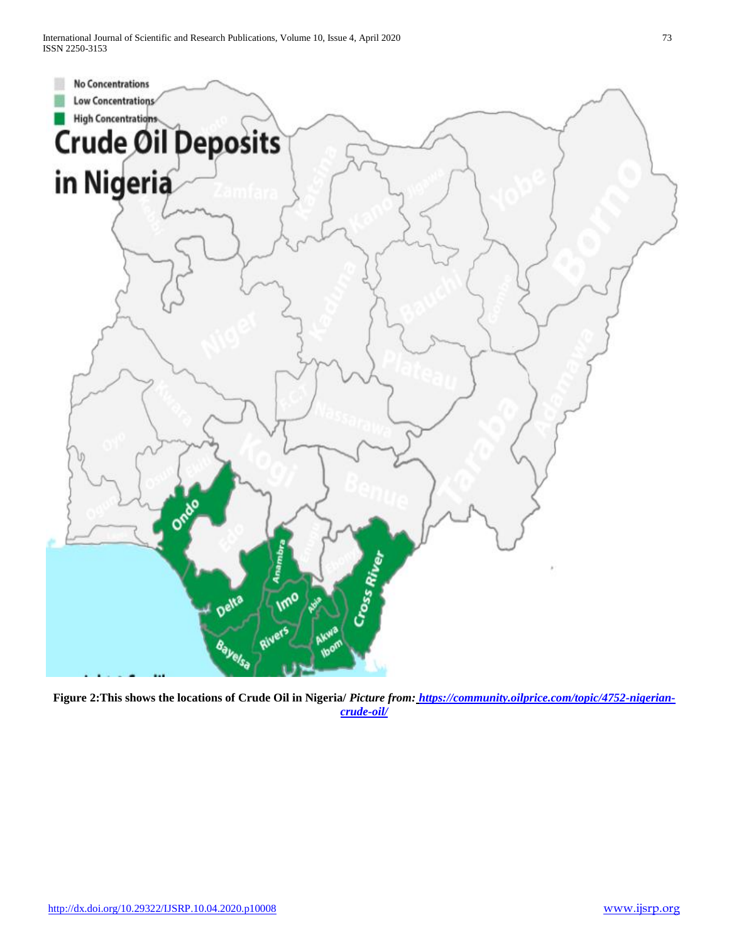International Journal of Scientific and Research Publications, Volume 10, Issue 4, April 2020 73 ISSN 2250-3153



**Figure 2:This shows the locations of Crude Oil in Nigeria/** *Picture from: [https://community.oilprice.com/topic/4752-nigerian](https://community.oilprice.com/topic/4752-nigerian-crude-oil/)[crude-oil/](https://community.oilprice.com/topic/4752-nigerian-crude-oil/)*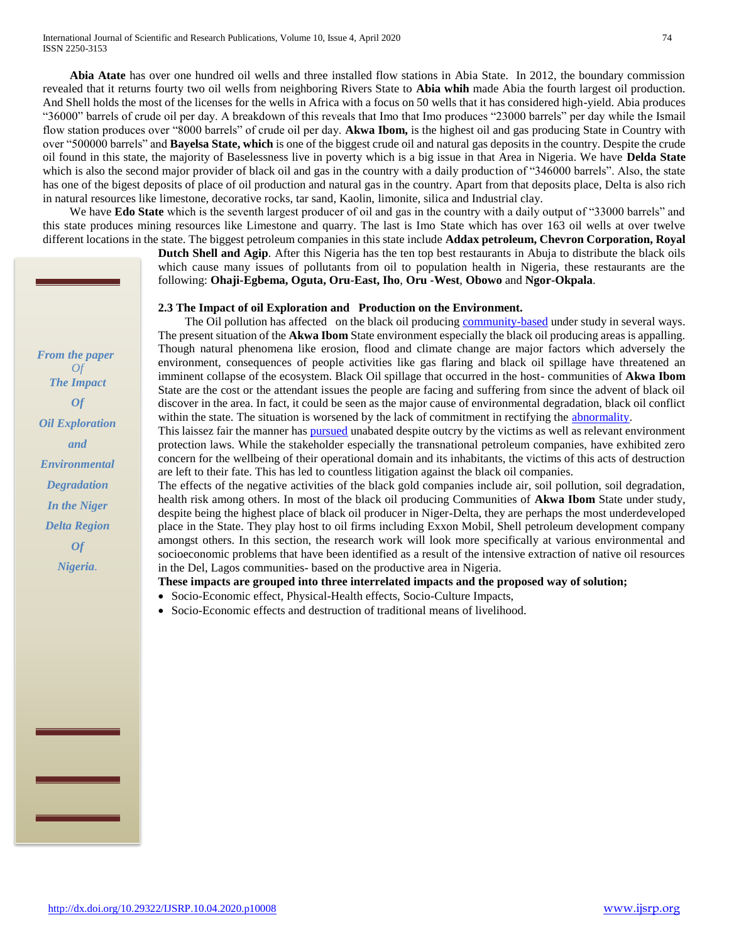**Abia Atate** has over one hundred oil wells and three installed flow stations in Abia State. In 2012, the boundary commission revealed that it returns fourty two oil wells from neighboring Rivers State to **Abia whih** made Abia the fourth largest oil production. And Shell holds the most of the licenses for the wells in Africa with a focus on 50 wells that it has considered high-yield. Abia produces "36000" barrels of crude oil per day. A breakdown of this reveals that Imo that Imo produces "23000 barrels" per day while the Ismail flow station produces over "8000 barrels" of crude oil per day. **Akwa Ibom,** is the highest oil and gas producing State in Country with over "500000 barrels" and **Bayelsa State, which** is one of the biggest crude oil and natural gas deposits in the country. Despite the crude oil found in this state, the majority of Baselessness live in poverty which is a big issue in that Area in Nigeria. We have **Delda State** which is also the second major provider of black oil and gas in the country with a daily production of "346000 barrels". Also, the state has one of the bigest deposits of place of oil production and natural gas in the country. Apart from that deposits place, Delta is also rich in natural resources like limestone, decorative rocks, tar sand, Kaolin, limonite, silica and Industrial clay.

We have **Edo State** which is the seventh largest producer of oil and gas in the country with a daily output of "33000 barrels" and this state produces mining resources like Limestone and quarry. The last is Imo State which has over 163 oil wells at over twelve different locations in the state. The biggest petroleum companies in this state include **Addax petroleum, Chevron Corporation, Royal** 

> **Dutch Shell and Agip**. After this Nigeria has the ten top best restaurants in Abuja to distribute the black oils which cause many issues of pollutants from oil to population health in Nigeria, these restaurants are the following: **Ohaji-Egbema, Oguta, Oru-East, Iho**, **Oru -West**, **Obowo** and **Ngor-Okpala**.

#### **2.3 The Impact of oil Exploration and Production on the Environment.**

The Oil pollution has affected on the black oil producing [community-based](https://www.powerthesaurus.org/community-based/synonyms) under study in several ways. The present situation of the **Akwa Ibom** State environment especially the black oil producing areas is appalling. Though natural phenomena like erosion, flood and climate change are major factors which adversely the environment, consequences of people activities like gas flaring and black oil spillage have threatened an imminent collapse of the ecosystem. Black Oil spillage that occurred in the host- communities of **Akwa Ibom** State are the cost or the attendant issues the people are facing and suffering from since the advent of black oil discover in the area. In fact, it could be seen as the major cause of environmental degradation, black oil conflict within the state. The situation is worsened by the lack of commitment in rectifying the [abnormality.](https://www.powerthesaurus.org/abnormality/synonyms)

This laissez fair the manner ha[s pursued](https://www.powerthesaurus.org/pursued/synonyms) unabated despite outcry by the victims as well as relevant environment protection laws. While the stakeholder especially the transnational petroleum companies, have exhibited zero concern for the wellbeing of their operational domain and its inhabitants, the victims of this acts of destruction are left to their fate. This has led to countless litigation against the black oil companies.

The effects of the negative activities of the black gold companies include air, soil pollution, soil degradation, health risk among others. In most of the black oil producing Communities of **Akwa Ibom** State under study, despite being the highest place of black oil producer in Niger-Delta, they are perhaps the most underdeveloped place in the State. They play host to oil firms including Exxon Mobil, Shell petroleum development company amongst others. In this section, the research work will look more specifically at various environmental and socioeconomic problems that have been identified as a result of the intensive extraction of native oil resources in the Del, Lagos communities- based on the productive area in Nigeria.

### **These impacts are grouped into three interrelated impacts and the proposed way of solution;**

- Socio-Economic effect, Physical-Health effects, Socio-Culture Impacts,
- Socio-Economic effects and destruction of traditional means of livelihood.

*From the paper Of The Impact Of Oil Exploration and Environmental Degradation In the Niger Delta Region Of Nigeria.*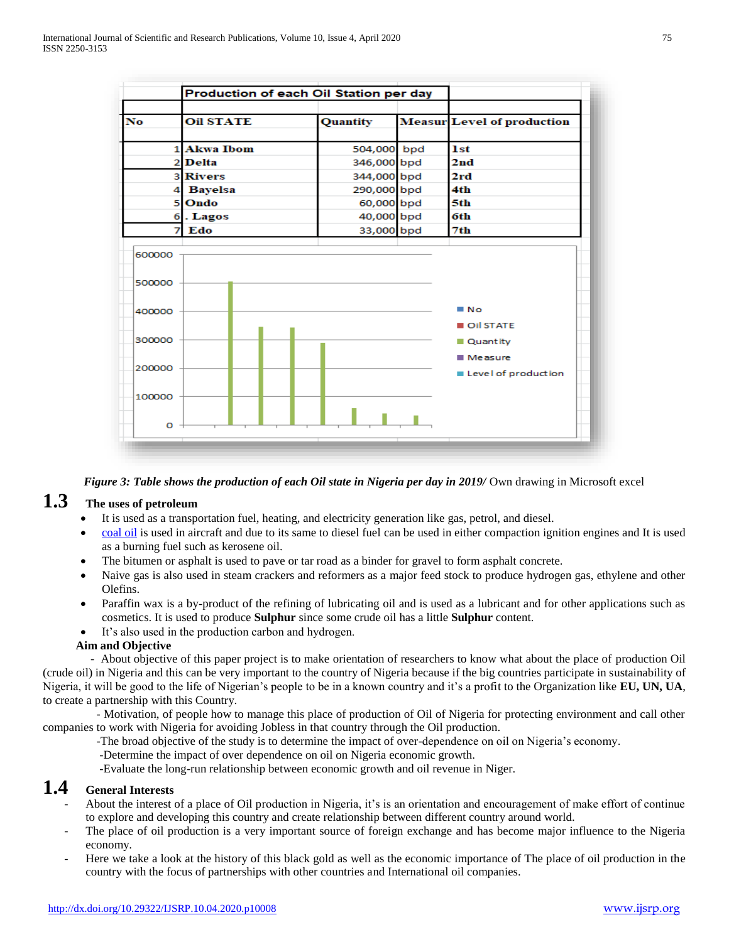| No<br><b>Oil STATE</b><br>Quantity<br>1 Akwa Ibom<br>504,000 bpd<br>2 Delta<br>346,000 bpd<br>344,000 bpd<br>3 Rivers<br>290,000 bpd<br>4 Bayelsa<br>5 Ondo<br>60,000 bpd<br>40,000 bpd<br>6. Lagos<br>Edo<br>33,000 bpd<br>7<br>600000<br>500000<br>400000<br>300000 |        | Production of each Oil Station per day |  |  |  |                                          |
|-----------------------------------------------------------------------------------------------------------------------------------------------------------------------------------------------------------------------------------------------------------------------|--------|----------------------------------------|--|--|--|------------------------------------------|
|                                                                                                                                                                                                                                                                       |        |                                        |  |  |  | <b>Measur</b> Level of production<br>1st |
|                                                                                                                                                                                                                                                                       |        |                                        |  |  |  |                                          |
|                                                                                                                                                                                                                                                                       |        |                                        |  |  |  | 2nd                                      |
|                                                                                                                                                                                                                                                                       |        |                                        |  |  |  | 2rd                                      |
|                                                                                                                                                                                                                                                                       |        |                                        |  |  |  | 4th.                                     |
|                                                                                                                                                                                                                                                                       |        |                                        |  |  |  | 5th.                                     |
|                                                                                                                                                                                                                                                                       |        |                                        |  |  |  | 6th                                      |
|                                                                                                                                                                                                                                                                       |        |                                        |  |  |  | 7th                                      |
|                                                                                                                                                                                                                                                                       |        |                                        |  |  |  | ■ No                                     |
|                                                                                                                                                                                                                                                                       |        |                                        |  |  |  | Oil STATE<br>Quantity<br>$Mear$ e asure  |
|                                                                                                                                                                                                                                                                       | 200000 |                                        |  |  |  | Level of production                      |
| 100000                                                                                                                                                                                                                                                                |        |                                        |  |  |  |                                          |
| o                                                                                                                                                                                                                                                                     |        |                                        |  |  |  |                                          |

*Figure 3: Table shows the production of each Oil state in Nigeria per day in 2019/ Own drawing in Microsoft excel* 

# **1.3 The uses of petroleum**

- It is used as a transportation fuel, heating, and electricity generation like gas, petrol, and diesel.
- [coal oil](https://www.powerthesaurus.org/coal_oil/synonyms) is used in aircraft and due to its same to diesel fuel can be used in either compaction ignition engines and It is used as a burning fuel such as kerosene oil.
- The bitumen or asphalt is used to pave or tar road as a binder for gravel to form asphalt concrete.
- Naive gas is also used in steam crackers and reformers as a major feed stock to produce hydrogen gas, ethylene and other Olefins.
- Paraffin wax is a by-product of the refining of lubricating oil and is used as a lubricant and for other applications such as cosmetics. It is used to produce **Sulphur** since some crude oil has a little **Sulphur** content.
- It's also used in the production carbon and hydrogen.

### **Aim and Objective**

 - About objective of this paper project is to make orientation of researchers to know what about the place of production Oil (crude oil) in Nigeria and this can be very important to the country of Nigeria because if the big countries participate in sustainability of Nigeria, it will be good to the life of Nigerian's people to be in a known country and it's a profit to the Organization like **EU, UN, UA**, to create a partnership with this Country.

 - Motivation, of people how to manage this place of production of Oil of Nigeria for protecting environment and call other companies to work with Nigeria for avoiding Jobless in that country through the Oil production.

- -The broad objective of the study is to determine the impact of over-dependence on oil on Nigeria's economy.
- -Determine the impact of over dependence on oil on Nigeria economic growth.

-Evaluate the long-run relationship between economic growth and oil revenue in Niger.

# **1.4 General Interests**

- About the interest of a place of Oil production in Nigeria, it's is an orientation and encouragement of make effort of continue to explore and developing this country and create relationship between different country around world.
- The place of oil production is a very important source of foreign exchange and has become major influence to the Nigeria economy.
- Here we take a look at the history of this black gold as well as the economic importance of The place of oil production in the country with the focus of partnerships with other countries and International oil companies.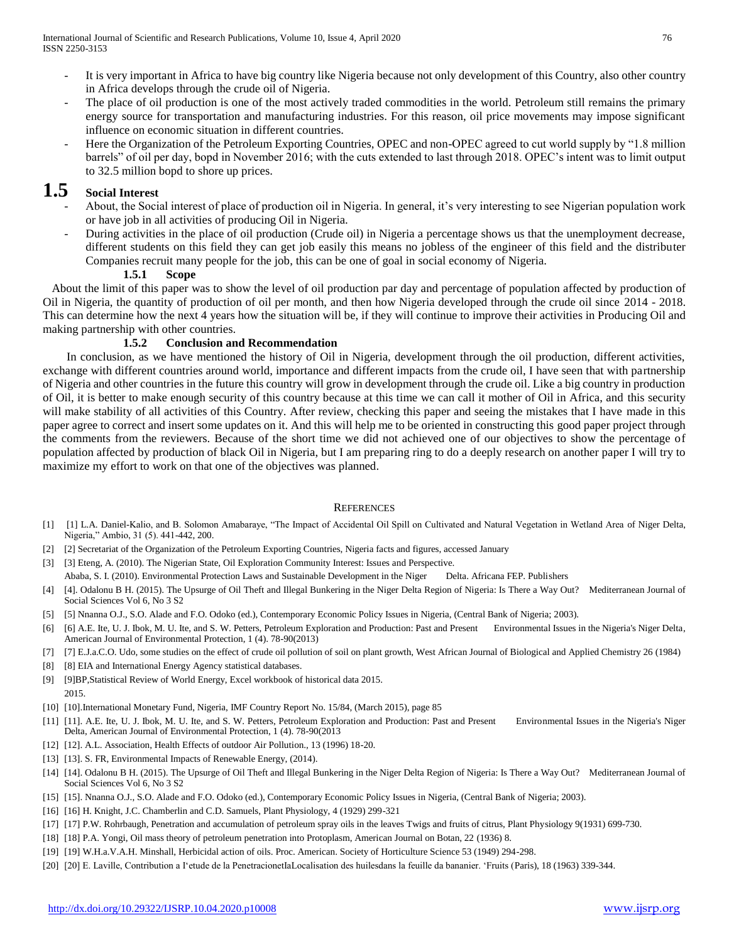- It is very important in Africa to have big country like Nigeria because not only development of this Country, also other country in Africa develops through the crude oil of Nigeria.
- The place of oil production is one of the most actively traded commodities in the world. Petroleum still remains the primary energy source for transportation and manufacturing industries. For this reason, oil price movements may impose significant influence on economic situation in different countries.
- Here the Organization of the Petroleum Exporting Countries, OPEC and non-OPEC agreed to cut world supply by "1.8 million barrels" of oil per day, bopd in November 2016; with the cuts extended to last through 2018. OPEC's intent was to limit output to 32.5 million bopd to shore up prices.

# **1.5 Social Interest**

- About, the Social interest of place of production oil in Nigeria. In general, it's very interesting to see Nigerian population work or have job in all activities of producing Oil in Nigeria.
- During activities in the place of oil production (Crude oil) in Nigeria a percentage shows us that the unemployment decrease, different students on this field they can get job easily this means no jobless of the engineer of this field and the distributer Companies recruit many people for the job, this can be one of goal in social economy of Nigeria.

### **1.5.1 Scope**

 About the limit of this paper was to show the level of oil production par day and percentage of population affected by production of Oil in Nigeria, the quantity of production of oil per month, and then how Nigeria developed through the crude oil since 2014 - 2018. This can determine how the next 4 years how the situation will be, if they will continue to improve their activities in Producing Oil and making partnership with other countries.

### **1.5.2 Conclusion and Recommendation**

 In conclusion, as we have mentioned the history of Oil in Nigeria, development through the oil production, different activities, exchange with different countries around world, importance and different impacts from the crude oil, I have seen that with partnership of Nigeria and other countries in the future this country will grow in development through the crude oil. Like a big country in production of Oil, it is better to make enough security of this country because at this time we can call it mother of Oil in Africa, and this security will make stability of all activities of this Country. After review, checking this paper and seeing the mistakes that I have made in this paper agree to correct and insert some updates on it. And this will help me to be oriented in constructing this good paper project through the comments from the reviewers. Because of the short time we did not achieved one of our objectives to show the percentage of population affected by production of black Oil in Nigeria, but I am preparing ring to do a deeply research on another paper I will try to maximize my effort to work on that one of the objectives was planned.

#### **REFERENCES**

- [1] [1] L.A. Daniel-Kalio, and B. Solomon Amabaraye, "The Impact of Accidental Oil Spill on Cultivated and Natural Vegetation in Wetland Area of Niger Delta, Nigeria," Ambio, 31 (5). 441-442, 200.
- [2] [2] Secretariat of the Organization of the Petroleum Exporting Countries, Nigeria facts and figures, accessed January
- [3] [3] Eteng, A. (2010). The Nigerian State, Oil Exploration Community Interest: Issues and Perspective.
- Ababa, S. I. (2010). Environmental Protection Laws and Sustainable Development in the Niger Delta. Africana FEP. Publishers
- [4] [4]. Odalonu B H. (2015). The Upsurge of Oil Theft and Illegal Bunkering in the Niger Delta Region of Nigeria: Is There a Way Out? Mediterranean Journal of Social Sciences Vol 6, No 3 S2
- [5] [5] Nnanna O.J., S.O. Alade and F.O. Odoko (ed.), Contemporary Economic Policy Issues in Nigeria, (Central Bank of Nigeria; 2003).
- [6] [6] A.E. Ite, U. J. Ibok, M. U. Ite, and S. W. Petters, Petroleum Exploration and Production: Past and Present Environmental Issues in the Nigeria's Niger Delta, American Journal of Environmental Protection, 1 (4). 78-90(2013)
- [7] [7] E.J.a.C.O. Udo, some studies on the effect of crude oil pollution of soil on plant growth, West African Journal of Biological and Applied Chemistry 26 (1984)
- [8] [8] EIA and International Energy Agency statistical databases.
- [9] [9]BP,Statistical Review of World Energy, Excel workbook of historical data 2015. 2015.
- [10] [10].International Monetary Fund, Nigeria, IMF Country Report No. 15/84, (March 2015), page 85
- [11] [11]. A.E. Ite, U. J. Ibok, M. U. Ite, and S. W. Petters, Petroleum Exploration and Production: Past and Present Environmental Issues in the Nigeria's Niger Delta, American Journal of Environmental Protection, 1 (4). 78-90(2013
- [12] [12]. A.L. Association, Health Effects of outdoor Air Pollution., 13 (1996) 18-20.
- [13] [13]. S. FR, Environmental Impacts of Renewable Energy, (2014).
- [14] [14]. Odalonu B H. (2015). The Upsurge of Oil Theft and Illegal Bunkering in the Niger Delta Region of Nigeria: Is There a Way Out? Mediterranean Journal of Social Sciences Vol 6, No 3 S2
- [15] [15]. Nnanna O.J., S.O. Alade and F.O. Odoko (ed.), Contemporary Economic Policy Issues in Nigeria, (Central Bank of Nigeria; 2003).
- [16] [16] H. Knight, J.C. Chamberlin and C.D. Samuels, Plant Physiology, 4 (1929) 299-321
- [17] [17] P.W. Rohrbaugh, Penetration and accumulation of petroleum spray oils in the leaves Twigs and fruits of citrus, Plant Physiology 9(1931) 699-730.
- [18] [18] P.A. Yongi, Oil mass theory of petroleum penetration into Protoplasm, American Journal on Botan, 22 (1936) 8.
- [19] [19] W.H.a.V.A.H. Minshall, Herbicidal action of oils. Proc. American. Society of Horticulture Science 53 (1949) 294-298.
- [20] [20] E. Laville, Contribution a I'etude de la PenetracionetIaLocalisation des huilesdans la feuille da bananier. 'Fruits (Paris), 18 (1963) 339-344.